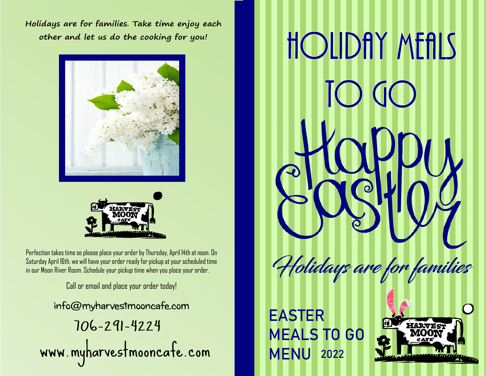**Holidays are for families. Take time enjoy each other and let us do the cooking for you!**





Perfection takes time so please place your order by Thursday, April 14th at noon. On Saturday April 16th, we will have your order ready for pickup at your scheduled time in our Moon River Room. Schedule your pickup time when you place your order.

Call or email and place your order today!

info@myharvestmooncafe.com 706-291-4224 www.myharvestmooncafe.com